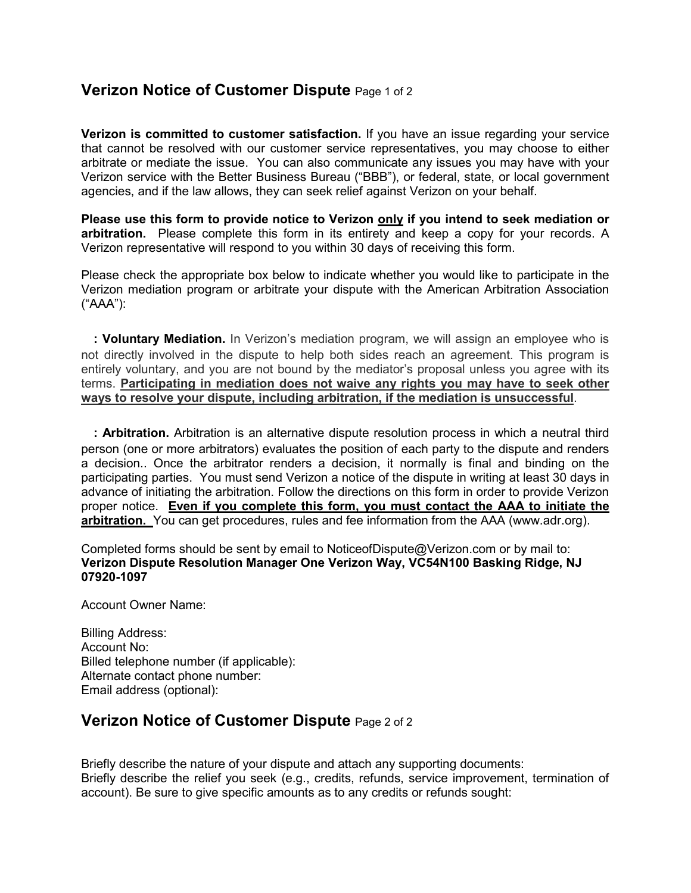## **Verizon Notice of Customer Dispute** Page 1 of 2

**Verizon is committed to customer satisfaction.** If you have an issue regarding your service that cannot be resolved with our customer service representatives, you may choose to either arbitrate or mediate the issue. You can also communicate any issues you may have with your Verizon service with the Better Business Bureau ("BBB"), or federal, state, or local government agencies, and if the law allows, they can seek relief against Verizon on your behalf.

**Please use this form to provide notice to Verizon only if you intend to seek mediation or arbitration.** Please complete this form in its entirety and keep a copy for your records. A Verizon representative will respond to you within 30 days of receiving this form.

Please check the appropriate box below to indicate whether you would like to participate in the Verizon mediation program or arbitrate your dispute with the American Arbitration Association ("AAA"):

□**: Voluntary Mediation.** In Verizon's mediation program, we will assign an employee who is not directly involved in the dispute to help both sides reach an agreement. This program is entirely voluntary, and you are not bound by the mediator's proposal unless you agree with its terms. **Participating in mediation does not waive any rights you may have to seek other ways to resolve your dispute, including arbitration, if the mediation is unsuccessful**.

**□: Arbitration.** Arbitration is an alternative dispute resolution process in which a neutral third person (one or more arbitrators) evaluates the position of each party to the dispute and renders a decision.. Once the arbitrator renders a decision, it normally is final and binding on the participating parties. You must send Verizon a notice of the dispute in writing at least 30 days in advance of initiating the arbitration. Follow the directions on this form in order to provide Verizon proper notice. **Even if you complete this form, you must contact the AAA to initiate the arbitration.** You can get procedures, rules and fee information from the AAA (www.adr.org).

Completed forms should be sent by email to NoticeofDispute@Verizon.com or by mail to: **Verizon Dispute Resolution Manager One Verizon Way, VC54N100 Basking Ridge, NJ 07920-1097** 

Account Owner Name:

Billing Address: Account No: Billed telephone number (if applicable): Alternate contact phone number: Email address (optional):

## **Verizon Notice of Customer Dispute** Page 2 of 2

Briefly describe the nature of your dispute and attach any supporting documents: Briefly describe the relief you seek (e.g., credits, refunds, service improvement, termination of account). Be sure to give specific amounts as to any credits or refunds sought: